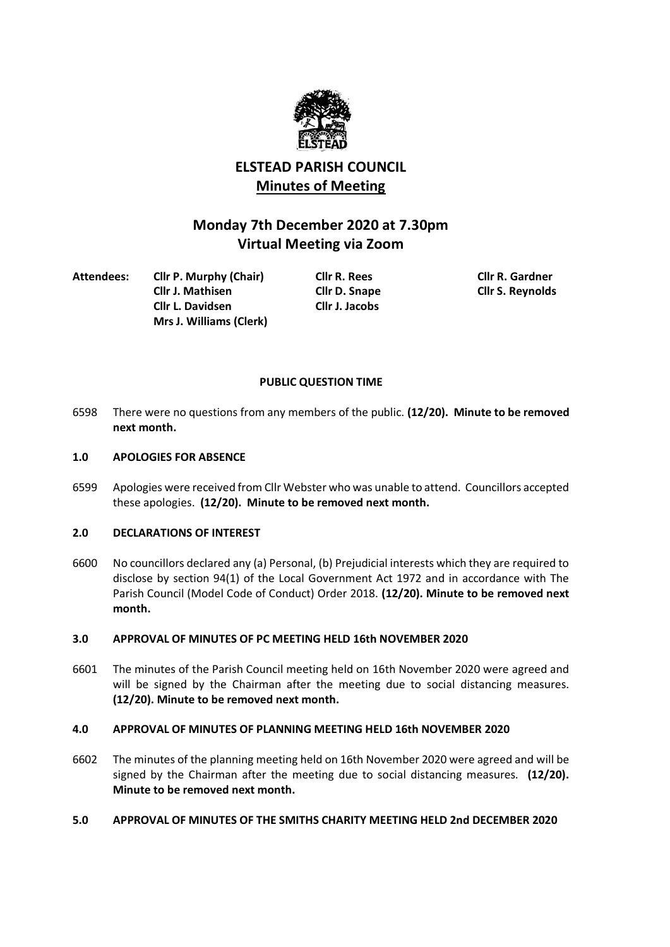

# **ELSTEAD PARISH COUNCIL Minutes of Meeting**

# **Monday 7th December 2020 at 7.30pm Virtual Meeting via Zoom**

**Attendees: Cllr P. Murphy (Chair) Cllr R. Rees Cllr R. Gardner Cllr J. Mathisen Cllr D. Snape Cllr S. Reynolds Cllr L. Davidsen Cllr J. Jacobs Mrs J. Williams (Clerk)**

## **PUBLIC QUESTION TIME**

6598 There were no questions from any members of the public. **(12/20). Minute to be removed next month.**

## **1.0 APOLOGIES FOR ABSENCE**

6599 Apologies were received from Cllr Webster who was unable to attend. Councillors accepted these apologies. **(12/20). Minute to be removed next month.**

## **2.0 DECLARATIONS OF INTEREST**

6600 No councillors declared any (a) Personal, (b) Prejudicial interests which they are required to disclose by section 94(1) of the Local Government Act 1972 and in accordance with The Parish Council (Model Code of Conduct) Order 2018. **(12/20). Minute to be removed next month.**

## **3.0 APPROVAL OF MINUTES OF PC MEETING HELD 16th NOVEMBER 2020**

6601 The minutes of the Parish Council meeting held on 16th November 2020 were agreed and will be signed by the Chairman after the meeting due to social distancing measures. **(12/20). Minute to be removed next month.**

## **4.0 APPROVAL OF MINUTES OF PLANNING MEETING HELD 16th NOVEMBER 2020**

6602 The minutes of the planning meeting held on 16th November 2020 were agreed and will be signed by the Chairman after the meeting due to social distancing measures. **(12/20). Minute to be removed next month.**

## **5.0 APPROVAL OF MINUTES OF THE SMITHS CHARITY MEETING HELD 2nd DECEMBER 2020**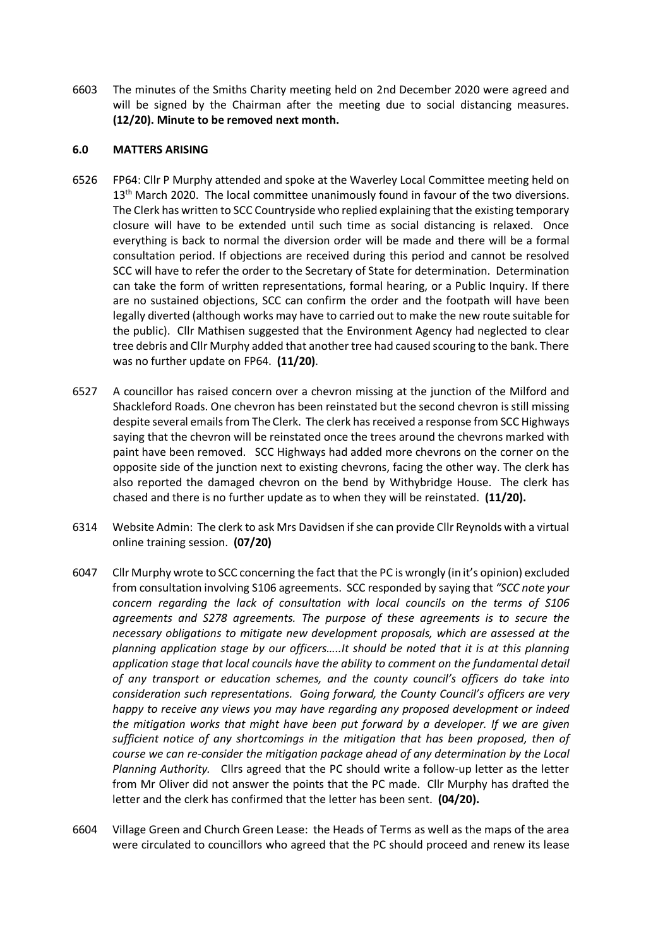6603 The minutes of the Smiths Charity meeting held on 2nd December 2020 were agreed and will be signed by the Chairman after the meeting due to social distancing measures. **(12/20). Minute to be removed next month.**

### **6.0 MATTERS ARISING**

- 6526 FP64: Cllr P Murphy attended and spoke at the Waverley Local Committee meeting held on 13<sup>th</sup> March 2020. The local committee unanimously found in favour of the two diversions. The Clerk has written to SCC Countryside who replied explaining that the existing temporary closure will have to be extended until such time as social distancing is relaxed. Once everything is back to normal the diversion order will be made and there will be a formal consultation period. If objections are received during this period and cannot be resolved SCC will have to refer the order to the Secretary of State for determination. Determination can take the form of written representations, formal hearing, or a Public Inquiry. If there are no sustained objections, SCC can confirm the order and the footpath will have been legally diverted (although works may have to carried out to make the new route suitable for the public). Cllr Mathisen suggested that the Environment Agency had neglected to clear tree debris and Cllr Murphy added that another tree had caused scouring to the bank. There was no further update on FP64. **(11/20)**.
- 6527 A councillor has raised concern over a chevron missing at the junction of the Milford and Shackleford Roads. One chevron has been reinstated but the second chevron is still missing despite several emails from The Clerk. The clerk has received a response from SCC Highways saying that the chevron will be reinstated once the trees around the chevrons marked with paint have been removed. SCC Highways had added more chevrons on the corner on the opposite side of the junction next to existing chevrons, facing the other way. The clerk has also reported the damaged chevron on the bend by Withybridge House. The clerk has chased and there is no further update as to when they will be reinstated. **(11/20).**
- 6314 Website Admin: The clerk to ask Mrs Davidsen if she can provide Cllr Reynolds with a virtual online training session. **(07/20)**
- 6047 Cllr Murphy wrote to SCC concerning the fact that the PC is wrongly (in it's opinion) excluded from consultation involving S106 agreements. SCC responded by saying that *"SCC note your concern regarding the lack of consultation with local councils on the terms of S106 agreements and S278 agreements. The purpose of these agreements is to secure the necessary obligations to mitigate new development proposals, which are assessed at the planning application stage by our officers…..It should be noted that it is at this planning application stage that local councils have the ability to comment on the fundamental detail of any transport or education schemes, and the county council's officers do take into consideration such representations. Going forward, the County Council's officers are very happy to receive any views you may have regarding any proposed development or indeed the mitigation works that might have been put forward by a developer. If we are given sufficient notice of any shortcomings in the mitigation that has been proposed, then of course we can re-consider the mitigation package ahead of any determination by the Local Planning Authority.* Cllrs agreed that the PC should write a follow-up letter as the letter from Mr Oliver did not answer the points that the PC made. Cllr Murphy has drafted the letter and the clerk has confirmed that the letter has been sent. **(04/20).**
- 6604 Village Green and Church Green Lease: the Heads of Terms as well as the maps of the area were circulated to councillors who agreed that the PC should proceed and renew its lease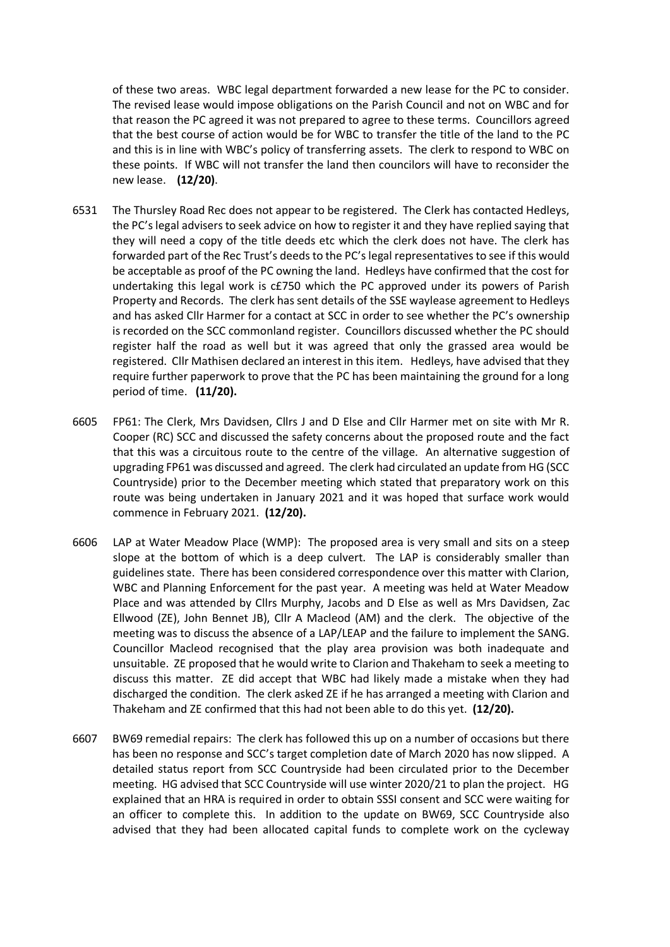of these two areas. WBC legal department forwarded a new lease for the PC to consider. The revised lease would impose obligations on the Parish Council and not on WBC and for that reason the PC agreed it was not prepared to agree to these terms. Councillors agreed that the best course of action would be for WBC to transfer the title of the land to the PC and this is in line with WBC's policy of transferring assets. The clerk to respond to WBC on these points. If WBC will not transfer the land then councilors will have to reconsider the new lease. **(12/20)**.

- 6531 The Thursley Road Rec does not appear to be registered. The Clerk has contacted Hedleys, the PC's legal advisers to seek advice on how to register it and they have replied saying that they will need a copy of the title deeds etc which the clerk does not have. The clerk has forwarded part of the Rec Trust's deeds to the PC's legal representatives to see if this would be acceptable as proof of the PC owning the land. Hedleys have confirmed that the cost for undertaking this legal work is c£750 which the PC approved under its powers of Parish Property and Records. The clerk has sent details of the SSE waylease agreement to Hedleys and has asked Cllr Harmer for a contact at SCC in order to see whether the PC's ownership is recorded on the SCC commonland register. Councillors discussed whether the PC should register half the road as well but it was agreed that only the grassed area would be registered. Cllr Mathisen declared an interest in this item. Hedleys, have advised that they require further paperwork to prove that the PC has been maintaining the ground for a long period of time. **(11/20).**
- 6605 FP61: The Clerk, Mrs Davidsen, Cllrs J and D Else and Cllr Harmer met on site with Mr R. Cooper (RC) SCC and discussed the safety concerns about the proposed route and the fact that this was a circuitous route to the centre of the village. An alternative suggestion of upgrading FP61 was discussed and agreed. The clerk had circulated an update from HG (SCC Countryside) prior to the December meeting which stated that preparatory work on this route was being undertaken in January 2021 and it was hoped that surface work would commence in February 2021. **(12/20).**
- 6606 LAP at Water Meadow Place (WMP): The proposed area is very small and sits on a steep slope at the bottom of which is a deep culvert. The LAP is considerably smaller than guidelines state. There has been considered correspondence over this matter with Clarion, WBC and Planning Enforcement for the past year. A meeting was held at Water Meadow Place and was attended by Cllrs Murphy, Jacobs and D Else as well as Mrs Davidsen, Zac Ellwood (ZE), John Bennet JB), Cllr A Macleod (AM) and the clerk. The objective of the meeting was to discuss the absence of a LAP/LEAP and the failure to implement the SANG. Councillor Macleod recognised that the play area provision was both inadequate and unsuitable. ZE proposed that he would write to Clarion and Thakeham to seek a meeting to discuss this matter. ZE did accept that WBC had likely made a mistake when they had discharged the condition. The clerk asked ZE if he has arranged a meeting with Clarion and Thakeham and ZE confirmed that this had not been able to do this yet. **(12/20).**
- 6607 BW69 remedial repairs: The clerk has followed this up on a number of occasions but there has been no response and SCC's target completion date of March 2020 has now slipped. A detailed status report from SCC Countryside had been circulated prior to the December meeting. HG advised that SCC Countryside will use winter 2020/21 to plan the project. HG explained that an HRA is required in order to obtain SSSI consent and SCC were waiting for an officer to complete this. In addition to the update on BW69, SCC Countryside also advised that they had been allocated capital funds to complete work on the cycleway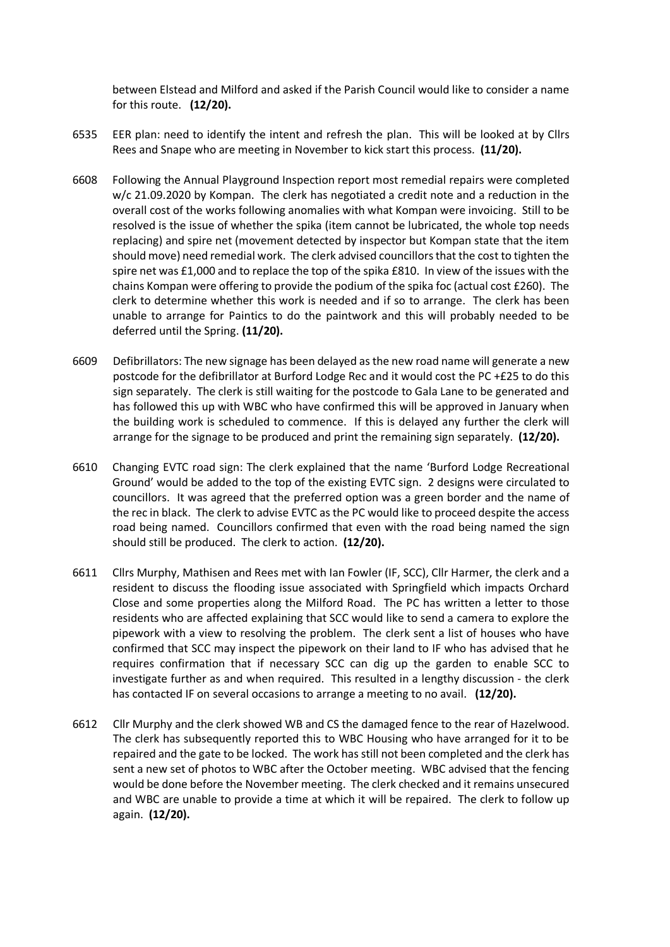between Elstead and Milford and asked if the Parish Council would like to consider a name for this route. **(12/20).**

- 6535 EER plan: need to identify the intent and refresh the plan. This will be looked at by Cllrs Rees and Snape who are meeting in November to kick start this process. **(11/20).**
- 6608 Following the Annual Playground Inspection report most remedial repairs were completed w/c 21.09.2020 by Kompan. The clerk has negotiated a credit note and a reduction in the overall cost of the works following anomalies with what Kompan were invoicing. Still to be resolved is the issue of whether the spika (item cannot be lubricated, the whole top needs replacing) and spire net (movement detected by inspector but Kompan state that the item should move) need remedial work. The clerk advised councillors that the cost to tighten the spire net was £1,000 and to replace the top of the spika £810. In view of the issues with the chains Kompan were offering to provide the podium of the spika foc (actual cost £260). The clerk to determine whether this work is needed and if so to arrange. The clerk has been unable to arrange for Paintics to do the paintwork and this will probably needed to be deferred until the Spring. **(11/20).**
- 6609 Defibrillators: The new signage has been delayed as the new road name will generate a new postcode for the defibrillator at Burford Lodge Rec and it would cost the PC +£25 to do this sign separately. The clerk is still waiting for the postcode to Gala Lane to be generated and has followed this up with WBC who have confirmed this will be approved in January when the building work is scheduled to commence. If this is delayed any further the clerk will arrange for the signage to be produced and print the remaining sign separately. **(12/20).**
- 6610 Changing EVTC road sign: The clerk explained that the name 'Burford Lodge Recreational Ground' would be added to the top of the existing EVTC sign. 2 designs were circulated to councillors. It was agreed that the preferred option was a green border and the name of the rec in black. The clerk to advise EVTC as the PC would like to proceed despite the access road being named. Councillors confirmed that even with the road being named the sign should still be produced. The clerk to action. **(12/20).**
- 6611 Cllrs Murphy, Mathisen and Rees met with Ian Fowler (IF, SCC), Cllr Harmer, the clerk and a resident to discuss the flooding issue associated with Springfield which impacts Orchard Close and some properties along the Milford Road. The PC has written a letter to those residents who are affected explaining that SCC would like to send a camera to explore the pipework with a view to resolving the problem. The clerk sent a list of houses who have confirmed that SCC may inspect the pipework on their land to IF who has advised that he requires confirmation that if necessary SCC can dig up the garden to enable SCC to investigate further as and when required. This resulted in a lengthy discussion - the clerk has contacted IF on several occasions to arrange a meeting to no avail. **(12/20).**
- 6612 Cllr Murphy and the clerk showed WB and CS the damaged fence to the rear of Hazelwood. The clerk has subsequently reported this to WBC Housing who have arranged for it to be repaired and the gate to be locked. The work has still not been completed and the clerk has sent a new set of photos to WBC after the October meeting. WBC advised that the fencing would be done before the November meeting. The clerk checked and it remains unsecured and WBC are unable to provide a time at which it will be repaired. The clerk to follow up again. **(12/20).**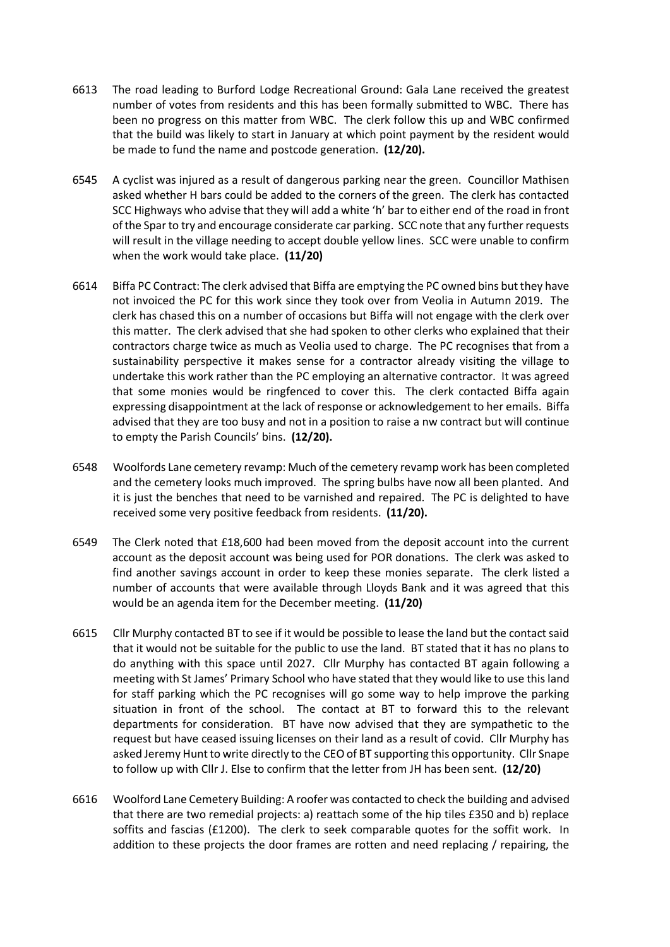- 6613 The road leading to Burford Lodge Recreational Ground: Gala Lane received the greatest number of votes from residents and this has been formally submitted to WBC. There has been no progress on this matter from WBC. The clerk follow this up and WBC confirmed that the build was likely to start in January at which point payment by the resident would be made to fund the name and postcode generation. **(12/20).**
- 6545 A cyclist was injured as a result of dangerous parking near the green. Councillor Mathisen asked whether H bars could be added to the corners of the green. The clerk has contacted SCC Highways who advise that they will add a white 'h' bar to either end of the road in front of the Spar to try and encourage considerate car parking. SCC note that any further requests will result in the village needing to accept double yellow lines. SCC were unable to confirm when the work would take place. **(11/20)**
- 6614 Biffa PC Contract: The clerk advised that Biffa are emptying the PC owned bins but they have not invoiced the PC for this work since they took over from Veolia in Autumn 2019. The clerk has chased this on a number of occasions but Biffa will not engage with the clerk over this matter. The clerk advised that she had spoken to other clerks who explained that their contractors charge twice as much as Veolia used to charge. The PC recognises that from a sustainability perspective it makes sense for a contractor already visiting the village to undertake this work rather than the PC employing an alternative contractor. It was agreed that some monies would be ringfenced to cover this. The clerk contacted Biffa again expressing disappointment at the lack of response or acknowledgement to her emails. Biffa advised that they are too busy and not in a position to raise a nw contract but will continue to empty the Parish Councils' bins. **(12/20).**
- 6548 Woolfords Lane cemetery revamp: Much of the cemetery revamp work has been completed and the cemetery looks much improved. The spring bulbs have now all been planted. And it is just the benches that need to be varnished and repaired. The PC is delighted to have received some very positive feedback from residents. **(11/20).**
- 6549 The Clerk noted that £18,600 had been moved from the deposit account into the current account as the deposit account was being used for POR donations. The clerk was asked to find another savings account in order to keep these monies separate. The clerk listed a number of accounts that were available through Lloyds Bank and it was agreed that this would be an agenda item for the December meeting. **(11/20)**
- 6615 Cllr Murphy contacted BT to see if it would be possible to lease the land but the contact said that it would not be suitable for the public to use the land. BT stated that it has no plans to do anything with this space until 2027. Cllr Murphy has contacted BT again following a meeting with St James' Primary School who have stated that they would like to use this land for staff parking which the PC recognises will go some way to help improve the parking situation in front of the school. The contact at BT to forward this to the relevant departments for consideration. BT have now advised that they are sympathetic to the request but have ceased issuing licenses on their land as a result of covid. Cllr Murphy has asked Jeremy Hunt to write directly to the CEO of BT supporting this opportunity. Cllr Snape to follow up with Cllr J. Else to confirm that the letter from JH has been sent. **(12/20)**
- 6616 Woolford Lane Cemetery Building: A roofer was contacted to check the building and advised that there are two remedial projects: a) reattach some of the hip tiles £350 and b) replace soffits and fascias (£1200). The clerk to seek comparable quotes for the soffit work. In addition to these projects the door frames are rotten and need replacing / repairing, the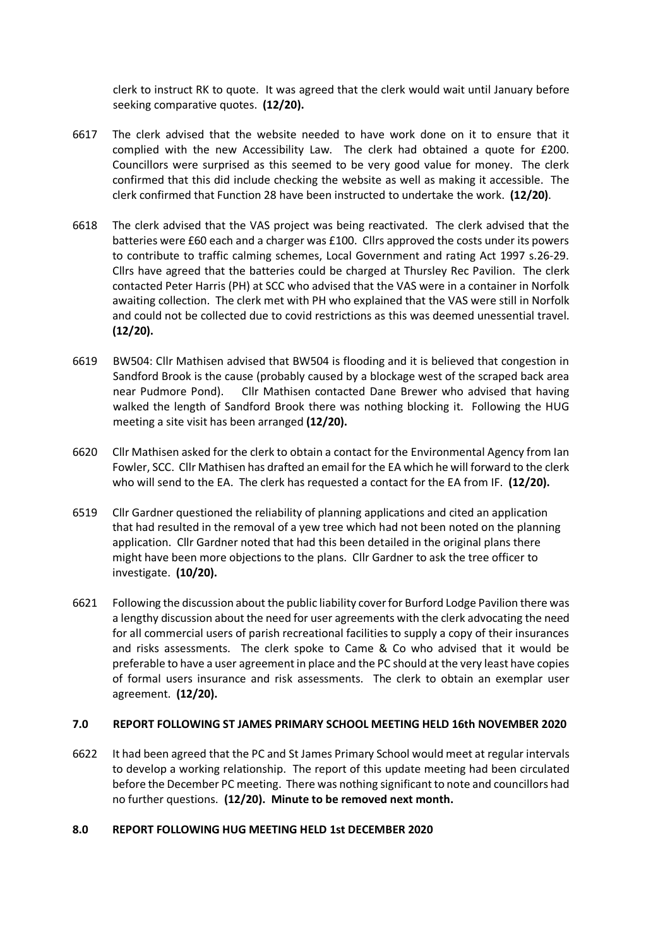clerk to instruct RK to quote. It was agreed that the clerk would wait until January before seeking comparative quotes. **(12/20).**

- 6617 The clerk advised that the website needed to have work done on it to ensure that it complied with the new Accessibility Law. The clerk had obtained a quote for £200. Councillors were surprised as this seemed to be very good value for money. The clerk confirmed that this did include checking the website as well as making it accessible. The clerk confirmed that Function 28 have been instructed to undertake the work. **(12/20)**.
- 6618 The clerk advised that the VAS project was being reactivated. The clerk advised that the batteries were £60 each and a charger was £100. Cllrs approved the costs under its powers to contribute to traffic calming schemes, Local Government and rating Act 1997 s.26-29. Cllrs have agreed that the batteries could be charged at Thursley Rec Pavilion. The clerk contacted Peter Harris (PH) at SCC who advised that the VAS were in a container in Norfolk awaiting collection. The clerk met with PH who explained that the VAS were still in Norfolk and could not be collected due to covid restrictions as this was deemed unessential travel. **(12/20).**
- 6619 BW504: Cllr Mathisen advised that BW504 is flooding and it is believed that congestion in Sandford Brook is the cause (probably caused by a blockage west of the scraped back area near Pudmore Pond). Cllr Mathisen contacted Dane Brewer who advised that having walked the length of Sandford Brook there was nothing blocking it. Following the HUG meeting a site visit has been arranged **(12/20).**
- 6620 Cllr Mathisen asked for the clerk to obtain a contact for the Environmental Agency from Ian Fowler, SCC. Cllr Mathisen has drafted an email for the EA which he will forward to the clerk who will send to the EA. The clerk has requested a contact for the EA from IF. **(12/20).**
- 6519 Cllr Gardner questioned the reliability of planning applications and cited an application that had resulted in the removal of a yew tree which had not been noted on the planning application. Cllr Gardner noted that had this been detailed in the original plans there might have been more objections to the plans. Cllr Gardner to ask the tree officer to investigate. **(10/20).**
- 6621 Following the discussion about the public liability cover for Burford Lodge Pavilion there was a lengthy discussion about the need for user agreements with the clerk advocating the need for all commercial users of parish recreational facilities to supply a copy of their insurances and risks assessments. The clerk spoke to Came & Co who advised that it would be preferable to have a user agreement in place and the PC should at the very least have copies of formal users insurance and risk assessments. The clerk to obtain an exemplar user agreement. **(12/20).**

## **7.0 REPORT FOLLOWING ST JAMES PRIMARY SCHOOL MEETING HELD 16th NOVEMBER 2020**

6622 It had been agreed that the PC and St James Primary School would meet at regular intervals to develop a working relationship. The report of this update meeting had been circulated before the December PC meeting. There was nothing significant to note and councillors had no further questions. **(12/20). Minute to be removed next month.**

#### **8.0 REPORT FOLLOWING HUG MEETING HELD 1st DECEMBER 2020**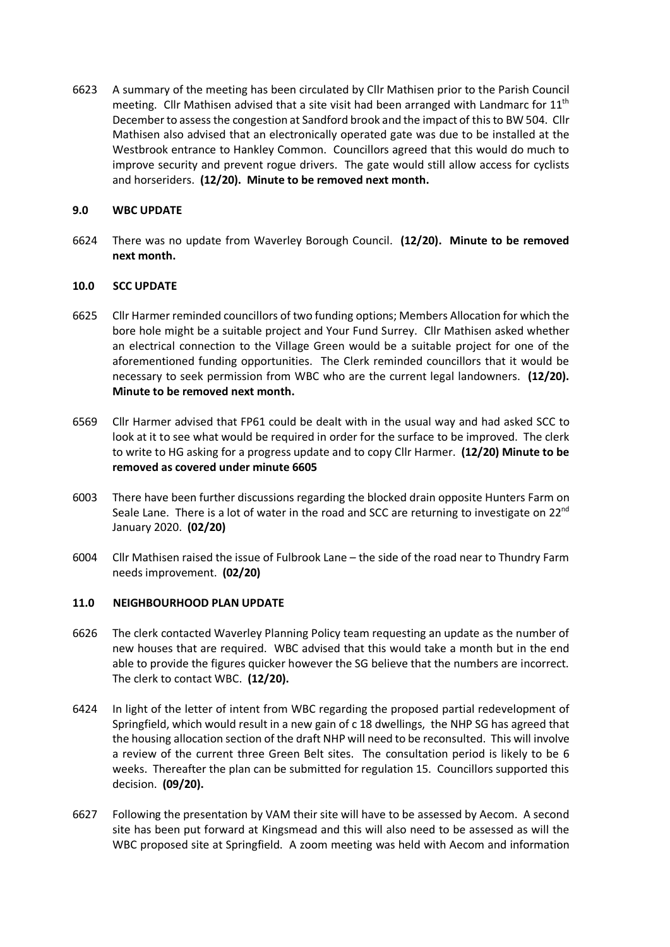6623 A summary of the meeting has been circulated by Cllr Mathisen prior to the Parish Council meeting. Cllr Mathisen advised that a site visit had been arranged with Landmarc for 11<sup>th</sup> December to assess the congestion at Sandford brook and the impact of this to BW 504. Cllr Mathisen also advised that an electronically operated gate was due to be installed at the Westbrook entrance to Hankley Common. Councillors agreed that this would do much to improve security and prevent rogue drivers. The gate would still allow access for cyclists and horseriders. **(12/20). Minute to be removed next month.**

## **9.0 WBC UPDATE**

6624 There was no update from Waverley Borough Council. **(12/20). Minute to be removed next month.**

## **10.0 SCC UPDATE**

- 6625 Cllr Harmer reminded councillors of two funding options; Members Allocation for which the bore hole might be a suitable project and Your Fund Surrey. Cllr Mathisen asked whether an electrical connection to the Village Green would be a suitable project for one of the aforementioned funding opportunities. The Clerk reminded councillors that it would be necessary to seek permission from WBC who are the current legal landowners. **(12/20). Minute to be removed next month.**
- 6569 Cllr Harmer advised that FP61 could be dealt with in the usual way and had asked SCC to look at it to see what would be required in order for the surface to be improved. The clerk to write to HG asking for a progress update and to copy Cllr Harmer. **(12/20) Minute to be removed as covered under minute 6605**
- 6003 There have been further discussions regarding the blocked drain opposite Hunters Farm on Seale Lane. There is a lot of water in the road and SCC are returning to investigate on  $22^{nd}$ January 2020. **(02/20)**
- 6004 Cllr Mathisen raised the issue of Fulbrook Lane the side of the road near to Thundry Farm needs improvement. **(02/20)**

## **11.0 NEIGHBOURHOOD PLAN UPDATE**

- 6626 The clerk contacted Waverley Planning Policy team requesting an update as the number of new houses that are required. WBC advised that this would take a month but in the end able to provide the figures quicker however the SG believe that the numbers are incorrect. The clerk to contact WBC. **(12/20).**
- 6424 In light of the letter of intent from WBC regarding the proposed partial redevelopment of Springfield, which would result in a new gain of c 18 dwellings, the NHP SG has agreed that the housing allocation section of the draft NHP will need to be reconsulted. This will involve a review of the current three Green Belt sites. The consultation period is likely to be 6 weeks. Thereafter the plan can be submitted for regulation 15. Councillors supported this decision. **(09/20).**
- 6627 Following the presentation by VAM their site will have to be assessed by Aecom. A second site has been put forward at Kingsmead and this will also need to be assessed as will the WBC proposed site at Springfield. A zoom meeting was held with Aecom and information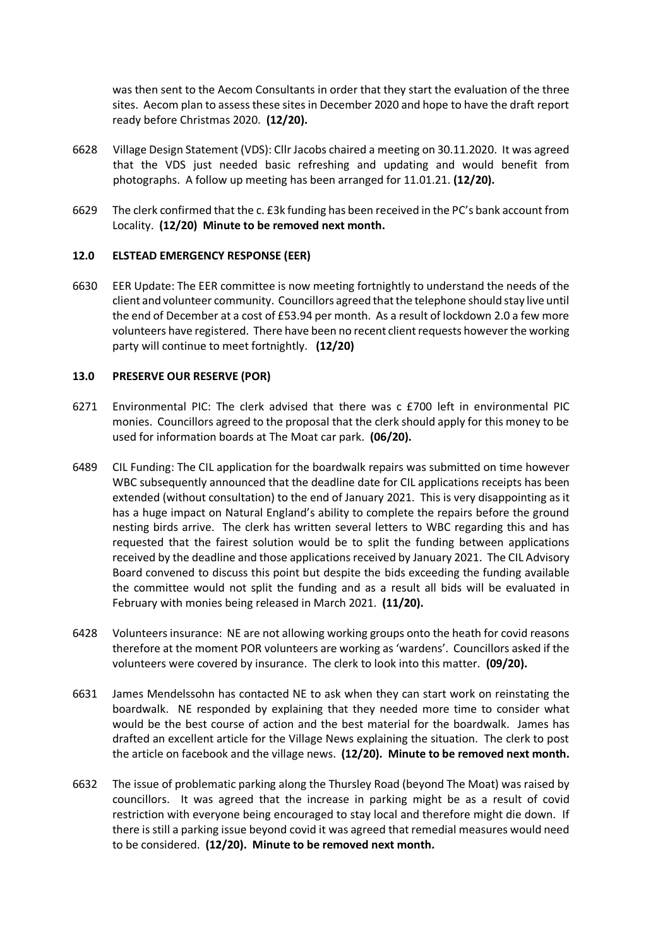was then sent to the Aecom Consultants in order that they start the evaluation of the three sites. Aecom plan to assess these sites in December 2020 and hope to have the draft report ready before Christmas 2020. **(12/20).**

- 6628 Village Design Statement (VDS): Cllr Jacobs chaired a meeting on 30.11.2020. It was agreed that the VDS just needed basic refreshing and updating and would benefit from photographs. A follow up meeting has been arranged for 11.01.21. **(12/20).**
- 6629 The clerk confirmed that the c. £3k funding has been received in the PC's bank account from Locality. **(12/20) Minute to be removed next month.**

### **12.0 ELSTEAD EMERGENCY RESPONSE (EER)**

6630 EER Update: The EER committee is now meeting fortnightly to understand the needs of the client and volunteer community. Councillors agreed that the telephone should stay live until the end of December at a cost of £53.94 per month. As a result of lockdown 2.0 a few more volunteers have registered. There have been no recent client requests however the working party will continue to meet fortnightly. **(12/20)**

### **13.0 PRESERVE OUR RESERVE (POR)**

- 6271 Environmental PIC: The clerk advised that there was c £700 left in environmental PIC monies. Councillors agreed to the proposal that the clerk should apply for this money to be used for information boards at The Moat car park. **(06/20).**
- 6489 CIL Funding: The CIL application for the boardwalk repairs was submitted on time however WBC subsequently announced that the deadline date for CIL applications receipts has been extended (without consultation) to the end of January 2021. This is very disappointing as it has a huge impact on Natural England's ability to complete the repairs before the ground nesting birds arrive. The clerk has written several letters to WBC regarding this and has requested that the fairest solution would be to split the funding between applications received by the deadline and those applications received by January 2021. The CIL Advisory Board convened to discuss this point but despite the bids exceeding the funding available the committee would not split the funding and as a result all bids will be evaluated in February with monies being released in March 2021. **(11/20).**
- 6428 Volunteers insurance: NE are not allowing working groups onto the heath for covid reasons therefore at the moment POR volunteers are working as 'wardens'. Councillors asked if the volunteers were covered by insurance. The clerk to look into this matter. **(09/20).**
- 6631 James Mendelssohn has contacted NE to ask when they can start work on reinstating the boardwalk. NE responded by explaining that they needed more time to consider what would be the best course of action and the best material for the boardwalk. James has drafted an excellent article for the Village News explaining the situation. The clerk to post the article on facebook and the village news. **(12/20). Minute to be removed next month.**
- 6632 The issue of problematic parking along the Thursley Road (beyond The Moat) was raised by councillors. It was agreed that the increase in parking might be as a result of covid restriction with everyone being encouraged to stay local and therefore might die down. If there is still a parking issue beyond covid it was agreed that remedial measures would need to be considered. **(12/20). Minute to be removed next month.**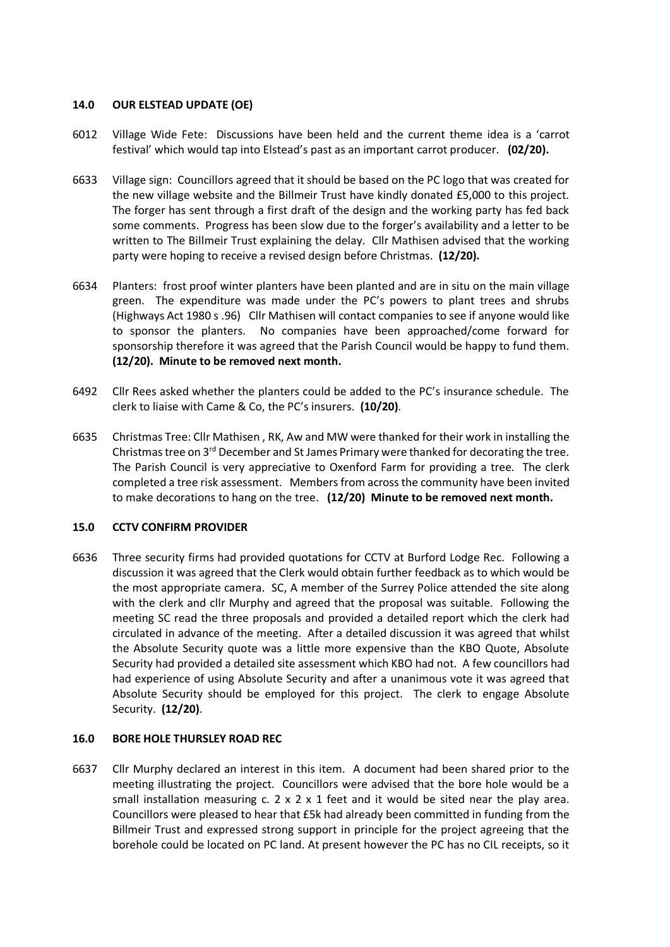## **14.0 OUR ELSTEAD UPDATE (OE)**

- 6012 Village Wide Fete: Discussions have been held and the current theme idea is a 'carrot festival' which would tap into Elstead's past as an important carrot producer. **(02/20).**
- 6633 Village sign: Councillors agreed that it should be based on the PC logo that was created for the new village website and the Billmeir Trust have kindly donated £5,000 to this project. The forger has sent through a first draft of the design and the working party has fed back some comments. Progress has been slow due to the forger's availability and a letter to be written to The Billmeir Trust explaining the delay. Cllr Mathisen advised that the working party were hoping to receive a revised design before Christmas. **(12/20).**
- 6634 Planters: frost proof winter planters have been planted and are in situ on the main village green. The expenditure was made under the PC's powers to plant trees and shrubs (Highways Act 1980 s .96) Cllr Mathisen will contact companies to see if anyone would like to sponsor the planters. No companies have been approached/come forward for sponsorship therefore it was agreed that the Parish Council would be happy to fund them. **(12/20). Minute to be removed next month.**
- 6492 Cllr Rees asked whether the planters could be added to the PC's insurance schedule. The clerk to liaise with Came & Co, the PC's insurers. **(10/20)**.
- 6635 Christmas Tree: Cllr Mathisen , RK, Aw and MW were thanked for their work in installing the Christmas tree on 3<sup>rd</sup> December and St James Primary were thanked for decorating the tree. The Parish Council is very appreciative to Oxenford Farm for providing a tree. The clerk completed a tree risk assessment. Members from across the community have been invited to make decorations to hang on the tree. **(12/20) Minute to be removed next month.**

## **15.0 CCTV CONFIRM PROVIDER**

6636 Three security firms had provided quotations for CCTV at Burford Lodge Rec. Following a discussion it was agreed that the Clerk would obtain further feedback as to which would be the most appropriate camera. SC, A member of the Surrey Police attended the site along with the clerk and cllr Murphy and agreed that the proposal was suitable. Following the meeting SC read the three proposals and provided a detailed report which the clerk had circulated in advance of the meeting. After a detailed discussion it was agreed that whilst the Absolute Security quote was a little more expensive than the KBO Quote, Absolute Security had provided a detailed site assessment which KBO had not. A few councillors had had experience of using Absolute Security and after a unanimous vote it was agreed that Absolute Security should be employed for this project. The clerk to engage Absolute Security. **(12/20)**.

## **16.0 BORE HOLE THURSLEY ROAD REC**

6637 Cllr Murphy declared an interest in this item. A document had been shared prior to the meeting illustrating the project. Councillors were advised that the bore hole would be a small installation measuring  $c. 2 \times 2 \times 1$  feet and it would be sited near the play area. Councillors were pleased to hear that £5k had already been committed in funding from the Billmeir Trust and expressed strong support in principle for the project agreeing that the borehole could be located on PC land. At present however the PC has no CIL receipts, so it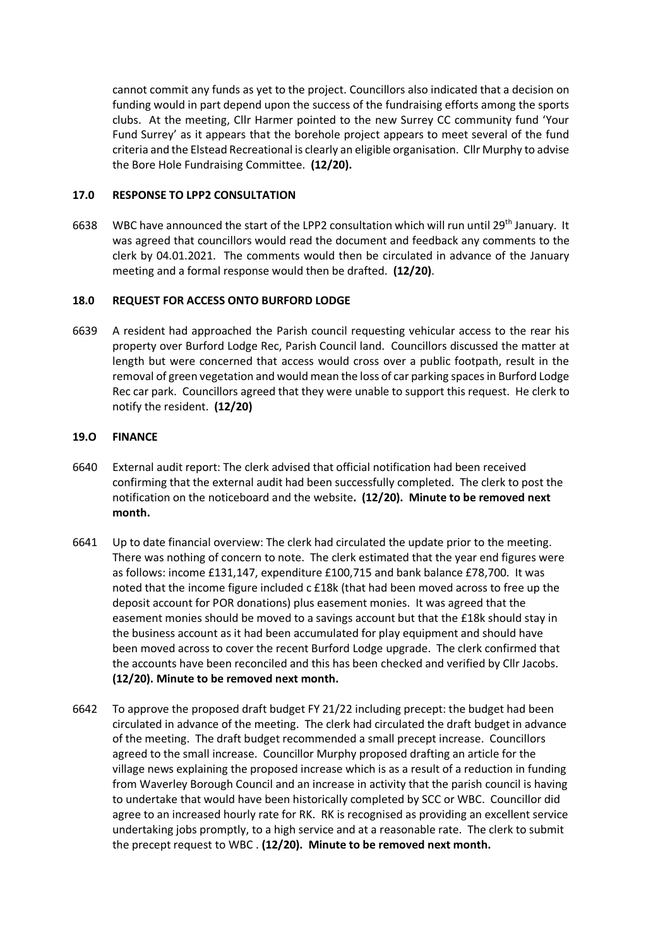cannot commit any funds as yet to the project. Councillors also indicated that a decision on funding would in part depend upon the success of the fundraising efforts among the sports clubs. At the meeting, Cllr Harmer pointed to the new Surrey CC community fund 'Your Fund Surrey' as it appears that the borehole project appears to meet several of the fund criteria and the Elstead Recreational is clearly an eligible organisation. Cllr Murphy to advise the Bore Hole Fundraising Committee. **(12/20).**

## **17.0 RESPONSE TO LPP2 CONSULTATION**

6638 WBC have announced the start of the LPP2 consultation which will run until 29<sup>th</sup> January. It was agreed that councillors would read the document and feedback any comments to the clerk by 04.01.2021. The comments would then be circulated in advance of the January meeting and a formal response would then be drafted. **(12/20)**.

## **18.0 REQUEST FOR ACCESS ONTO BURFORD LODGE**

6639 A resident had approached the Parish council requesting vehicular access to the rear his property over Burford Lodge Rec, Parish Council land. Councillors discussed the matter at length but were concerned that access would cross over a public footpath, result in the removal of green vegetation and would mean the loss of car parking spaces in Burford Lodge Rec car park. Councillors agreed that they were unable to support this request. He clerk to notify the resident. **(12/20)**

## **19.O FINANCE**

- 6640 External audit report: The clerk advised that official notification had been received confirming that the external audit had been successfully completed. The clerk to post the notification on the noticeboard and the website**. (12/20). Minute to be removed next month.**
- 6641 Up to date financial overview: The clerk had circulated the update prior to the meeting. There was nothing of concern to note. The clerk estimated that the year end figures were as follows: income £131,147, expenditure £100,715 and bank balance £78,700. It was noted that the income figure included c £18k (that had been moved across to free up the deposit account for POR donations) plus easement monies. It was agreed that the easement monies should be moved to a savings account but that the £18k should stay in the business account as it had been accumulated for play equipment and should have been moved across to cover the recent Burford Lodge upgrade. The clerk confirmed that the accounts have been reconciled and this has been checked and verified by Cllr Jacobs. **(12/20). Minute to be removed next month.**
- 6642 To approve the proposed draft budget FY 21/22 including precept: the budget had been circulated in advance of the meeting. The clerk had circulated the draft budget in advance of the meeting. The draft budget recommended a small precept increase. Councillors agreed to the small increase. Councillor Murphy proposed drafting an article for the village news explaining the proposed increase which is as a result of a reduction in funding from Waverley Borough Council and an increase in activity that the parish council is having to undertake that would have been historically completed by SCC or WBC. Councillor did agree to an increased hourly rate for RK. RK is recognised as providing an excellent service undertaking jobs promptly, to a high service and at a reasonable rate. The clerk to submit the precept request to WBC . **(12/20). Minute to be removed next month.**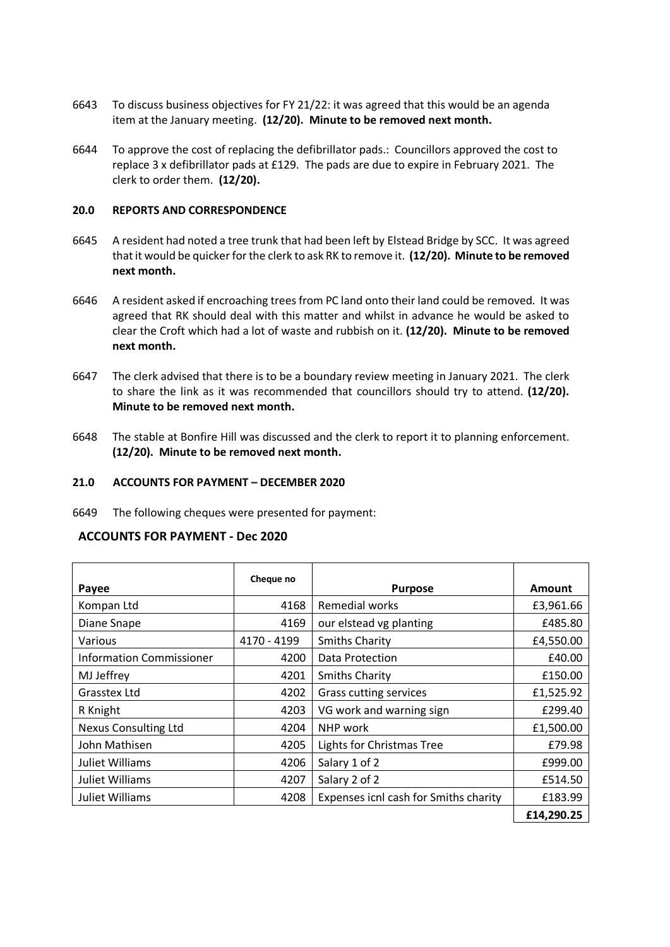- 6643 To discuss business objectives for FY 21/22: it was agreed that this would be an agenda item at the January meeting. **(12/20). Minute to be removed next month.**
- 6644 To approve the cost of replacing the defibrillator pads.: Councillors approved the cost to replace 3 x defibrillator pads at £129. The pads are due to expire in February 2021. The clerk to order them. **(12/20).**

## **20.0 REPORTS AND CORRESPONDENCE**

- 6645 A resident had noted a tree trunk that had been left by Elstead Bridge by SCC. It was agreed that it would be quicker for the clerk to ask RK to remove it. **(12/20). Minute to be removed next month.**
- 6646 A resident asked if encroaching trees from PC land onto their land could be removed. It was agreed that RK should deal with this matter and whilst in advance he would be asked to clear the Croft which had a lot of waste and rubbish on it. **(12/20). Minute to be removed next month.**
- 6647 The clerk advised that there is to be a boundary review meeting in January 2021. The clerk to share the link as it was recommended that councillors should try to attend. **(12/20). Minute to be removed next month.**
- 6648 The stable at Bonfire Hill was discussed and the clerk to report it to planning enforcement. **(12/20). Minute to be removed next month.**

#### **21.0 ACCOUNTS FOR PAYMENT – DECEMBER 2020**

6649 The following cheques were presented for payment:

## **ACCOUNTS FOR PAYMENT - Dec 2020**

| Payee                           | Cheque no   | <b>Purpose</b>                        | Amount     |
|---------------------------------|-------------|---------------------------------------|------------|
| Kompan Ltd                      | 4168        | <b>Remedial works</b>                 | £3,961.66  |
| Diane Snape                     | 4169        | our elstead vg planting               | £485.80    |
| Various                         | 4170 - 4199 | <b>Smiths Charity</b>                 | £4,550.00  |
| <b>Information Commissioner</b> | 4200        | Data Protection                       | £40.00     |
| MJ Jeffrey                      | 4201        | <b>Smiths Charity</b>                 | £150.00    |
| Grasstex Ltd                    | 4202        | Grass cutting services                | £1,525.92  |
| R Knight                        | 4203        | VG work and warning sign              | £299.40    |
| <b>Nexus Consulting Ltd</b>     | 4204        | NHP work                              | £1,500.00  |
| John Mathisen                   | 4205        | Lights for Christmas Tree             | £79.98     |
| <b>Juliet Williams</b>          | 4206        | Salary 1 of 2                         | £999.00    |
| Juliet Williams                 | 4207        | Salary 2 of 2                         | £514.50    |
| Juliet Williams                 | 4208        | Expenses icnl cash for Smiths charity | £183.99    |
|                                 |             |                                       | £14,290.25 |